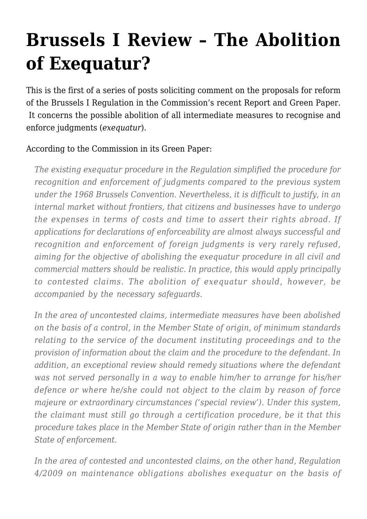## **[Brussels I Review – The Abolition](https://conflictoflaws.net/2009/brussels-i-review-the-abolition-of-exequatur/) [of Exequatur?](https://conflictoflaws.net/2009/brussels-i-review-the-abolition-of-exequatur/)**

This is the first of a series of posts soliciting comment on the proposals for reform of the Brussels I Regulation in the Commission's recent [Report and Green Paper.](https://conflictoflaws.de/2009/commissions-report-and-green-paper-on-brussels-i-regulation/) It concerns the possible abolition of all intermediate measures to recognise and enforce judgments (*exequatur*).

## According to the Commission in its Green Paper:

*The existing exequatur procedure in the Regulation simplified the procedure for recognition and enforcement of judgments compared to the previous system under the 1968 Brussels Convention. Nevertheless, it is difficult to justify, in an internal market without frontiers, that citizens and businesses have to undergo the expenses in terms of costs and time to assert their rights abroad. If applications for declarations of enforceability are almost always successful and recognition and enforcement of foreign judgments is very rarely refused, aiming for the objective of abolishing the exequatur procedure in all civil and commercial matters should be realistic. In practice, this would apply principally to contested claims. The abolition of exequatur should, however, be accompanied by the necessary safeguards.*

*In the area of uncontested claims, intermediate measures have been abolished on the basis of a control, in the Member State of origin, of minimum standards relating to the service of the document instituting proceedings and to the provision of information about the claim and the procedure to the defendant. In addition, an exceptional review should remedy situations where the defendant was not served personally in a way to enable him/her to arrange for his/her defence or where he/she could not object to the claim by reason of force majeure or extraordinary circumstances ('special review'). Under this system, the claimant must still go through a certification procedure, be it that this procedure takes place in the Member State of origin rather than in the Member State of enforcement.*

*In the area of contested and uncontested claims, on the other hand, Regulation 4/2009 on maintenance obligations abolishes exequatur on the basis of*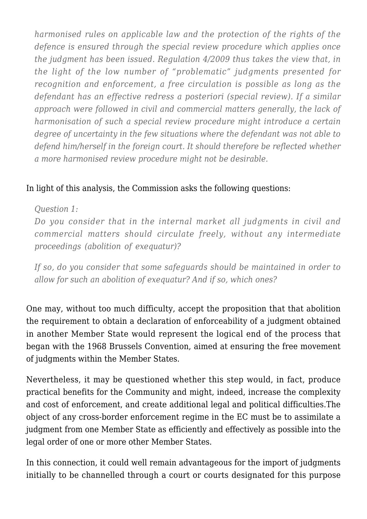*harmonised rules on applicable law and the protection of the rights of the defence is ensured through the special review procedure which applies once the judgment has been issued. Regulation 4/2009 thus takes the view that, in the light of the low number of "problematic" judgments presented for recognition and enforcement, a free circulation is possible as long as the defendant has an effective redress a posteriori (special review). If a similar approach were followed in civil and commercial matters generally, the lack of harmonisation of such a special review procedure might introduce a certain degree of uncertainty in the few situations where the defendant was not able to defend him/herself in the foreign court. It should therefore be reflected whether a more harmonised review procedure might not be desirable.*

## In light of this analysis, the Commission asks the following questions:

*Question 1:*

*Do you consider that in the internal market all judgments in civil and commercial matters should circulate freely, without any intermediate proceedings (abolition of exequatur)?*

*If so, do you consider that some safeguards should be maintained in order to allow for such an abolition of exequatur? And if so, which ones?*

One may, without too much difficulty, accept the proposition that that abolition the requirement to obtain a declaration of enforceability of a judgment obtained in another Member State would represent the logical end of the process that began with the 1968 Brussels Convention, aimed at ensuring the free movement of judgments within the Member States.

Nevertheless, it may be questioned whether this step would, in fact, produce practical benefits for the Community and might, indeed, increase the complexity and cost of enforcement, and create additional legal and political difficulties.The object of any cross-border enforcement regime in the EC must be to assimilate a judgment from one Member State as efficiently and effectively as possible into the legal order of one or more other Member States.

In this connection, it could well remain advantageous for the import of judgments initially to be channelled through a court or courts designated for this purpose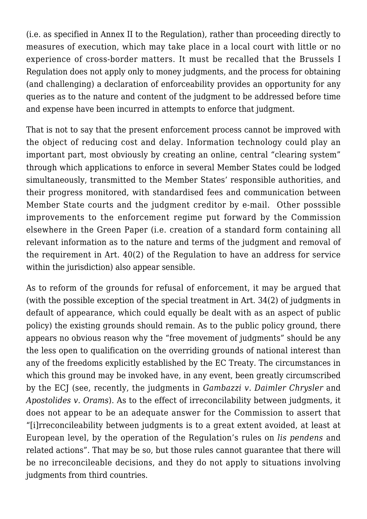(i.e. as specified in Annex II to the Regulation), rather than proceeding directly to measures of execution, which may take place in a local court with little or no experience of cross-border matters. It must be recalled that the Brussels I Regulation does not apply only to money judgments, and the process for obtaining (and challenging) a declaration of enforceability provides an opportunity for any queries as to the nature and content of the judgment to be addressed before time and expense have been incurred in attempts to enforce that judgment.

That is not to say that the present enforcement process cannot be improved with the object of reducing cost and delay. Information technology could play an important part, most obviously by creating an online, central "clearing system" through which applications to enforce in several Member States could be lodged simultaneously, transmitted to the Member States' responsible authorities, and their progress monitored, with standardised fees and communication between Member State courts and the judgment creditor by e-mail. Other posssible improvements to the enforcement regime put forward by the Commission elsewhere in the Green Paper (i.e. creation of a standard form containing all relevant information as to the nature and terms of the judgment and removal of the requirement in Art. 40(2) of the Regulation to have an address for service within the jurisdiction) also appear sensible.

As to reform of the grounds for refusal of enforcement, it may be argued that (with the possible exception of the special treatment in Art. 34(2) of judgments in default of appearance, which could equally be dealt with as an aspect of public policy) the existing grounds should remain. As to the public policy ground, there appears no obvious reason why the "free movement of judgments" should be any the less open to qualification on the overriding grounds of national interest than any of the freedoms explicitly established by the EC Treaty. The circumstances in which this ground may be invoked have, in any event, been greatly circumscribed by the ECJ (see, recently, the judgments in *[Gambazzi v. Daimler Chrysler](https://conflictoflaws.de/2009/ecj-judgment-in-gambazzi/)* and *[Apostolides v. Orams](https://conflictoflaws.de/2009/ecj-judgment-apostolides/)*). As to the effect of irreconcilability between judgments, it does not appear to be an adequate answer for the Commission to assert that "[i]rreconcileability between judgments is to a great extent avoided, at least at European level, by the operation of the Regulation's rules on *lis pendens* and related actions". That may be so, but those rules cannot guarantee that there will be no irreconcileable decisions, and they do not apply to situations involving judgments from third countries.